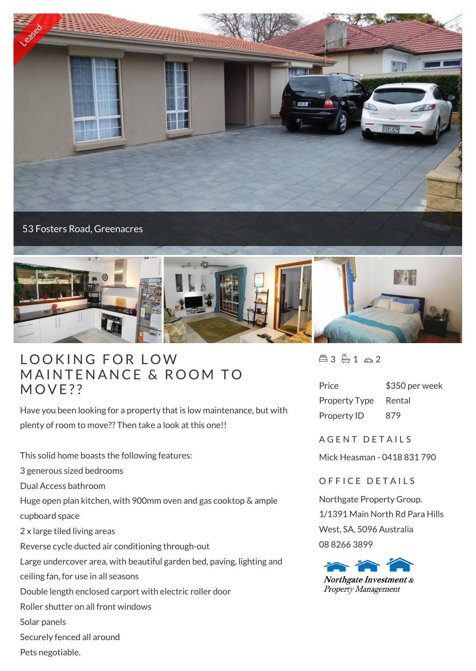



## LOOKING FOR LOW LOOKING FOR LOW<br>MAINTENANCE & ROOM TO LOOKING<br>MAINTENA<br>MOVE??

Have you been looking for a property that is low maintenance, but with plenty of room to move?? Then take a look at this one!!

This solid home boasts the following features:

3 generous sized bedrooms

Dual Access bathroom

Huge open plan kitchen, with 900mm oven and gas cooktop & ample

cupboard space

2 x large tiled living areas

Reverse cycle ducted air conditioning through-out

Large undercover area, with beautiful garden bed, paving, lighting and

- ceiling fan, for use in all seasons
- Double length enclosed carport with electric roller door
- Roller shutter on all front windows
- Solar panels
- Securely fenced all around
- Pets negotiable.

 $43 - 1 - 2$ 

| Price                | \$350 per week |
|----------------------|----------------|
| <b>Property Type</b> | Rental         |
| Property ID          | 879            |

A G F N T D F T A I I S

Mick Heasman - 0418 831 790

OFFICE DETAILS

Northgate Property Group. 1/1391 Main North Rd Para Hills West, SA, 5096 Australia 08 8266 3899